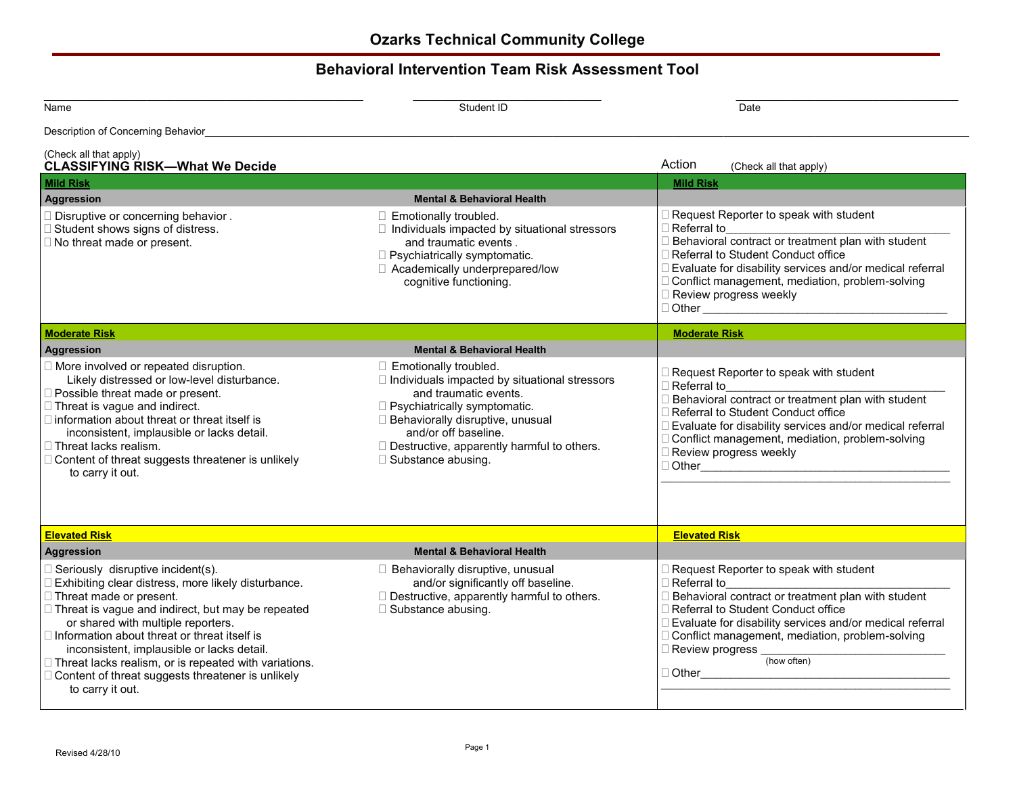## **Behavioral Intervention Team Risk Assessment Tool**

| Name                                                                                                                                                                                                                                                                                                                                                                                                                                                                   | Date<br>Student ID                                                                                                                                                                                                                                                                         |                                                                                                                                                                                                                                                                                                                                                        |  |
|------------------------------------------------------------------------------------------------------------------------------------------------------------------------------------------------------------------------------------------------------------------------------------------------------------------------------------------------------------------------------------------------------------------------------------------------------------------------|--------------------------------------------------------------------------------------------------------------------------------------------------------------------------------------------------------------------------------------------------------------------------------------------|--------------------------------------------------------------------------------------------------------------------------------------------------------------------------------------------------------------------------------------------------------------------------------------------------------------------------------------------------------|--|
| Description of Concerning Behavior_                                                                                                                                                                                                                                                                                                                                                                                                                                    |                                                                                                                                                                                                                                                                                            |                                                                                                                                                                                                                                                                                                                                                        |  |
| (Check all that apply)<br><b>CLASSIFYING RISK-What We Decide</b>                                                                                                                                                                                                                                                                                                                                                                                                       |                                                                                                                                                                                                                                                                                            | Action<br>(Check all that apply)                                                                                                                                                                                                                                                                                                                       |  |
| <b>Mild Risk</b>                                                                                                                                                                                                                                                                                                                                                                                                                                                       |                                                                                                                                                                                                                                                                                            | <b>Mild Risk</b>                                                                                                                                                                                                                                                                                                                                       |  |
| <b>Aggression</b>                                                                                                                                                                                                                                                                                                                                                                                                                                                      | <b>Mental &amp; Behavioral Health</b>                                                                                                                                                                                                                                                      |                                                                                                                                                                                                                                                                                                                                                        |  |
| □ Disruptive or concerning behavior.<br>□ Student shows signs of distress.<br>$\Box$ No threat made or present.                                                                                                                                                                                                                                                                                                                                                        | □ Emotionally troubled.<br>$\Box$ Individuals impacted by situational stressors<br>and traumatic events.<br>$\Box$ Psychiatrically symptomatic.<br>□ Academically underprepared/low<br>cognitive functioning.                                                                              | □ Request Reporter to speak with student<br>□ Referral to<br>$\Box$ Behavioral contract or treatment plan with student<br>□ Referral to Student Conduct office<br>□ Evaluate for disability services and/or medical referral<br>□ Conflict management, mediation, problem-solving<br>□ Review progress weekly                                          |  |
| <b>Moderate Risk</b>                                                                                                                                                                                                                                                                                                                                                                                                                                                   |                                                                                                                                                                                                                                                                                            | <b>Moderate Risk</b>                                                                                                                                                                                                                                                                                                                                   |  |
| <b>Aggression</b>                                                                                                                                                                                                                                                                                                                                                                                                                                                      | <b>Mental &amp; Behavioral Health</b>                                                                                                                                                                                                                                                      |                                                                                                                                                                                                                                                                                                                                                        |  |
| □ More involved or repeated disruption.<br>Likely distressed or low-level disturbance.<br>□ Possible threat made or present.<br>$\Box$ Threat is vague and indirect.<br>$\Box$ information about threat or threat itself is<br>inconsistent, implausible or lacks detail.<br>□ Threat lacks realism.<br>□ Content of threat suggests threatener is unlikely<br>to carry it out.                                                                                        | $\Box$ Emotionally troubled.<br>□ Individuals impacted by situational stressors<br>and traumatic events.<br>$\Box$ Psychiatrically symptomatic.<br>□ Behaviorally disruptive, unusual<br>and/or off baseline.<br>□ Destructive, apparently harmful to others.<br>$\Box$ Substance abusing. | $\Box$ Request Reporter to speak with student<br>$\Box$ Referral to<br>□ Behavioral contract or treatment plan with student<br>□ Referral to Student Conduct office<br>□ Evaluate for disability services and/or medical referral<br>□ Conflict management, mediation, problem-solving<br>□ Review progress weekly                                     |  |
| <b>Elevated Risk</b><br><b>Aggression</b>                                                                                                                                                                                                                                                                                                                                                                                                                              | <b>Mental &amp; Behavioral Health</b>                                                                                                                                                                                                                                                      | <b>Elevated Risk</b>                                                                                                                                                                                                                                                                                                                                   |  |
| $\Box$ Seriously disruptive incident(s).<br>□ Exhibiting clear distress, more likely disturbance.<br>□ Threat made or present.<br>□ Threat is vague and indirect, but may be repeated<br>or shared with multiple reporters.<br>$\Box$ Information about threat or threat itself is<br>inconsistent, implausible or lacks detail.<br>□ Threat lacks realism, or is repeated with variations.<br>□ Content of threat suggests threatener is unlikely<br>to carry it out. | □ Behaviorally disruptive, unusual<br>and/or significantly off baseline.<br>Destructive, apparently harmful to others.<br>$\Box$ Substance abusing.                                                                                                                                        | □ Request Reporter to speak with student<br>□ Referral to<br>$\Box$ Behavioral contract or treatment plan with student<br>□ Referral to Student Conduct office<br>□ Evaluate for disability services and/or medical referral<br>□ Conflict management, mediation, problem-solving<br>$\Box$ Review progress $\_$<br>(how often)<br>$\Box$ Other $\Box$ |  |